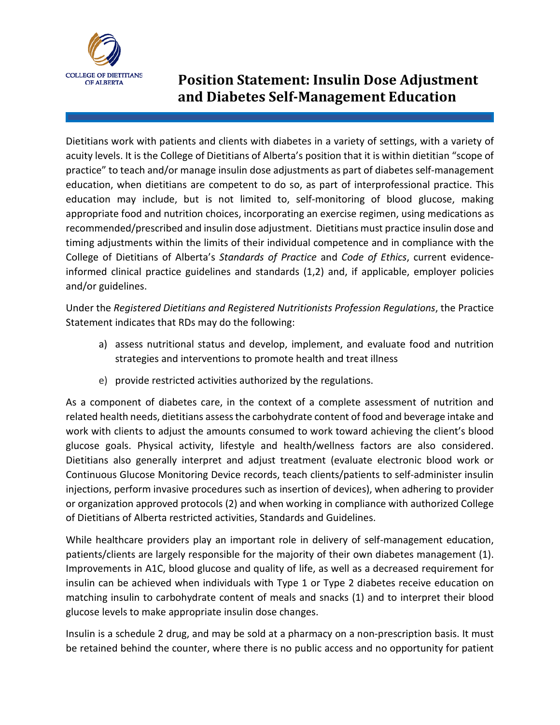

## **Position Statement: Insulin Dose Adjustment and Diabetes Self-Management Education**

Dietitians work with patients and clients with diabetes in a variety of settings, with a variety of acuity levels. It is the College of Dietitians of Alberta's position that it is within dietitian "scope of practice" to teach and/or manage insulin dose adjustments as part of diabetes self-management education, when dietitians are competent to do so, as part of interprofessional practice. This education may include, but is not limited to, self-monitoring of blood glucose, making appropriate food and nutrition choices, incorporating an exercise regimen, using medications as recommended/prescribed and insulin dose adjustment. Dietitians must practice insulin dose and timing adjustments within the limits of their individual competence and in compliance with the College of Dietitians of Alberta's *Standards of Practice* and *Code of Ethics*, current evidenceinformed clinical practice guidelines and standards (1,2) and, if applicable, employer policies and/or guidelines.

Under the *Registered Dietitians and Registered Nutritionists Profession Regulations*, the Practice Statement indicates that RDs may do the following:

- a) assess nutritional status and develop, implement, and evaluate food and nutrition strategies and interventions to promote health and treat illness
- e) provide restricted activities authorized by the regulations.

As a component of diabetes care, in the context of a complete assessment of nutrition and related health needs, dietitians assess the carbohydrate content of food and beverage intake and work with clients to adjust the amounts consumed to work toward achieving the client's blood glucose goals. Physical activity, lifestyle and health/wellness factors are also considered. Dietitians also generally interpret and adjust treatment (evaluate electronic blood work or Continuous Glucose Monitoring Device records, teach clients/patients to self-administer insulin injections, perform invasive procedures such as insertion of devices), when adhering to provider or organization approved protocols (2) and when working in compliance with authorized College of Dietitians of Alberta restricted activities, Standards and Guidelines.

While healthcare providers play an important role in delivery of self-management education, patients/clients are largely responsible for the majority of their own diabetes management (1). Improvements in A1C, blood glucose and quality of life, as well as a decreased requirement for insulin can be achieved when individuals with Type 1 or Type 2 diabetes receive education on matching insulin to carbohydrate content of meals and snacks (1) and to interpret their blood glucose levels to make appropriate insulin dose changes.

Insulin is a schedule 2 drug, and may be sold at a pharmacy on a non-prescription basis. It must be retained behind the counter, where there is no public access and no opportunity for patient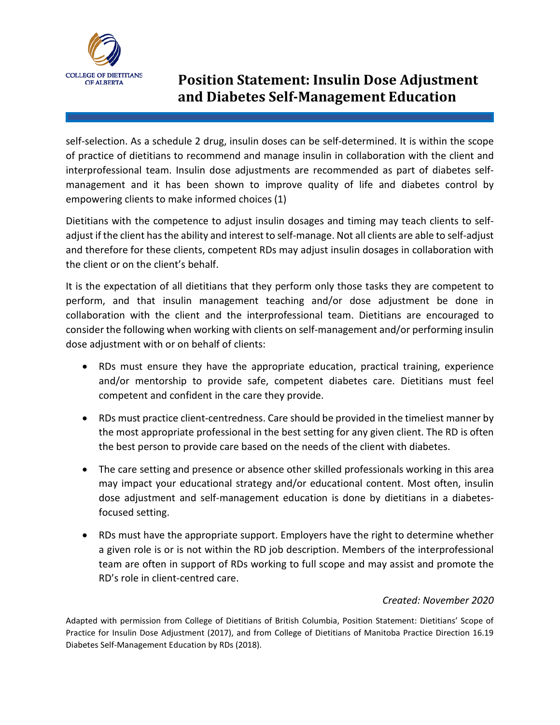

## **Position Statement: Insulin Dose Adjustment and Diabetes Self-Management Education**

self-selection. As a schedule 2 drug, insulin doses can be self-determined. It is within the scope of practice of dietitians to recommend and manage insulin in collaboration with the client and interprofessional team. Insulin dose adjustments are recommended as part of diabetes selfmanagement and it has been shown to improve quality of life and diabetes control by empowering clients to make informed choices (1)

Dietitians with the competence to adjust insulin dosages and timing may teach clients to selfadjust if the client has the ability and interest to self-manage. Not all clients are able to self-adjust and therefore for these clients, competent RDs may adjust insulin dosages in collaboration with the client or on the client's behalf.

It is the expectation of all dietitians that they perform only those tasks they are competent to perform, and that insulin management teaching and/or dose adjustment be done in collaboration with the client and the interprofessional team. Dietitians are encouraged to consider the following when working with clients on self-management and/or performing insulin dose adjustment with or on behalf of clients:

- RDs must ensure they have the appropriate education, practical training, experience and/or mentorship to provide safe, competent diabetes care. Dietitians must feel competent and confident in the care they provide.
- RDs must practice client-centredness. Care should be provided in the timeliest manner by the most appropriate professional in the best setting for any given client. The RD is often the best person to provide care based on the needs of the client with diabetes.
- The care setting and presence or absence other skilled professionals working in this area may impact your educational strategy and/or educational content. Most often, insulin dose adjustment and self-management education is done by dietitians in a diabetesfocused setting.
- RDs must have the appropriate support. Employers have the right to determine whether a given role is or is not within the RD job description. Members of the interprofessional team are often in support of RDs working to full scope and may assist and promote the RD's role in client-centred care.

#### *Created: November 2020*

Adapted with permission from College of Dietitians of British Columbia, Position Statement: Dietitians' Scope of Practice for Insulin Dose Adjustment (2017), and from College of Dietitians of Manitoba Practice Direction 16.19 Diabetes Self-Management Education by RDs (2018).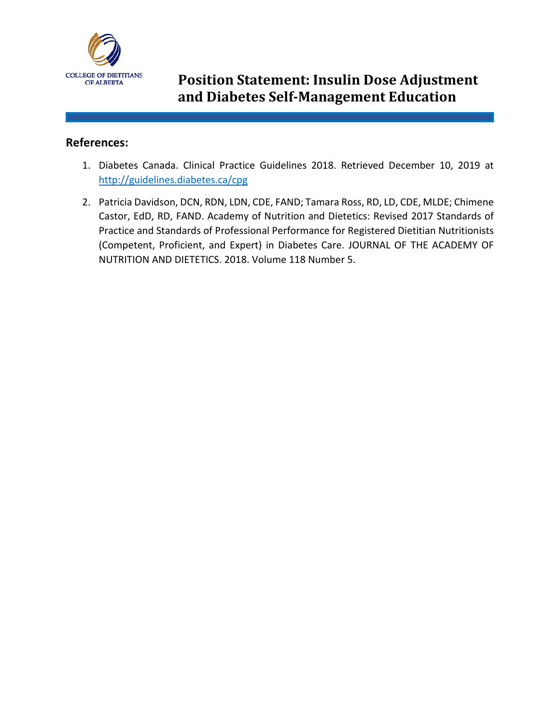

# **COLLEGE OF DIETITIANS Position Statement: Insulin Dose Adjustment and Diabetes Self-Management Education**

#### **References:**

- 1. Diabetes Canada. Clinical Practice Guidelines 2018. Retrieved December 10, 2019 at <http://guidelines.diabetes.ca/cpg>
- 2. Patricia Davidson, DCN, RDN, LDN, CDE, FAND; Tamara Ross, RD, LD, CDE, MLDE; Chimene Castor, EdD, RD, FAND. Academy of Nutrition and Dietetics: Revised 2017 Standards of Practice and Standards of Professional Performance for Registered Dietitian Nutritionists (Competent, Proficient, and Expert) in Diabetes Care. JOURNAL OF THE ACADEMY OF NUTRITION AND DIETETICS. 2018. Volume 118 Number 5.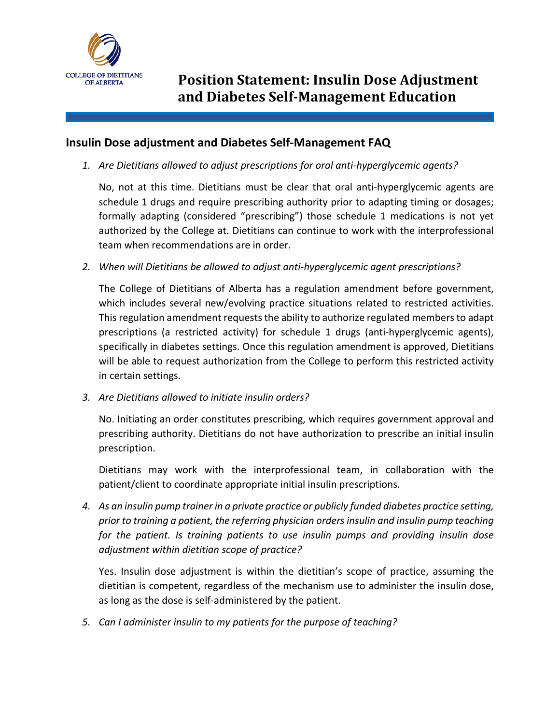

### **Insulin Dose adjustment and Diabetes Self-Management FAQ**

*1. Are Dietitians allowed to adjust prescriptions for oral anti-hyperglycemic agents?*

No, not at this time. Dietitians must be clear that oral anti-hyperglycemic agents are schedule 1 drugs and require prescribing authority prior to adapting timing or dosages; formally adapting (considered "prescribing") those schedule 1 medications is not yet authorized by the College at. Dietitians can continue to work with the interprofessional team when recommendations are in order.

*2. When will Dietitians be allowed to adjust anti-hyperglycemic agent prescriptions?*

The College of Dietitians of Alberta has a regulation amendment before government, which includes several new/evolving practice situations related to restricted activities. This regulation amendment requests the ability to authorize regulated members to adapt prescriptions (a restricted activity) for schedule 1 drugs (anti-hyperglycemic agents), specifically in diabetes settings. Once this regulation amendment is approved, Dietitians will be able to request authorization from the College to perform this restricted activity in certain settings.

*3. Are Dietitians allowed to initiate insulin orders?*

No. Initiating an order constitutes prescribing, which requires government approval and prescribing authority. Dietitians do not have authorization to prescribe an initial insulin prescription.

Dietitians may work with the interprofessional team, in collaboration with the patient/client to coordinate appropriate initial insulin prescriptions.

*4. As an insulin pump trainer in a private practice or publicly funded diabetes practice setting, prior to training a patient, the referring physician orders insulin and insulin pump teaching for the patient. Is training patients to use insulin pumps and providing insulin dose adjustment within dietitian scope of practice?*

Yes. Insulin dose adjustment is within the dietitian's scope of practice, assuming the dietitian is competent, regardless of the mechanism use to administer the insulin dose, as long as the dose is self-administered by the patient.

*5. Can I administer insulin to my patients for the purpose of teaching?*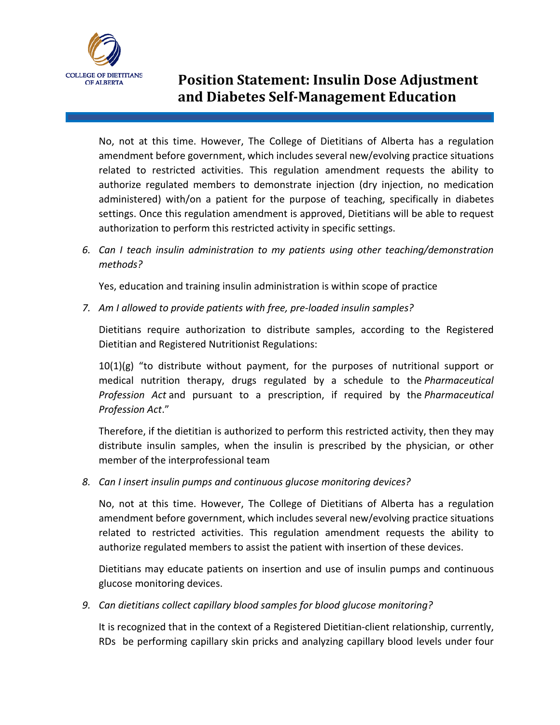

## **Position Statement: Insulin Dose Adjustment and Diabetes Self-Management Education**

No, not at this time. However, The College of Dietitians of Alberta has a regulation amendment before government, which includes several new/evolving practice situations related to restricted activities. This regulation amendment requests the ability to authorize regulated members to demonstrate injection (dry injection, no medication administered) with/on a patient for the purpose of teaching, specifically in diabetes settings. Once this regulation amendment is approved, Dietitians will be able to request authorization to perform this restricted activity in specific settings.

*6. Can I teach insulin administration to my patients using other teaching/demonstration methods?*

Yes, education and training insulin administration is within scope of practice

*7. Am I allowed to provide patients with free, pre-loaded insulin samples?*

Dietitians require authorization to distribute samples, according to the Registered Dietitian and Registered Nutritionist Regulations:

 $10(1)(g)$  "to distribute without payment, for the purposes of nutritional support or medical nutrition therapy, drugs regulated by a schedule to the *Pharmaceutical Profession Act* and pursuant to a prescription, if required by the *Pharmaceutical Profession Act*."

Therefore, if the dietitian is authorized to perform this restricted activity, then they may distribute insulin samples, when the insulin is prescribed by the physician, or other member of the interprofessional team

*8. Can I insert insulin pumps and continuous glucose monitoring devices?*

No, not at this time. However, The College of Dietitians of Alberta has a regulation amendment before government, which includes several new/evolving practice situations related to restricted activities. This regulation amendment requests the ability to authorize regulated members to assist the patient with insertion of these devices.

Dietitians may educate patients on insertion and use of insulin pumps and continuous glucose monitoring devices.

*9. Can dietitians collect capillary blood samples for blood glucose monitoring?*

It is recognized that in the context of a Registered Dietitian-client relationship, currently, RDs be performing capillary skin pricks and analyzing capillary blood levels under four